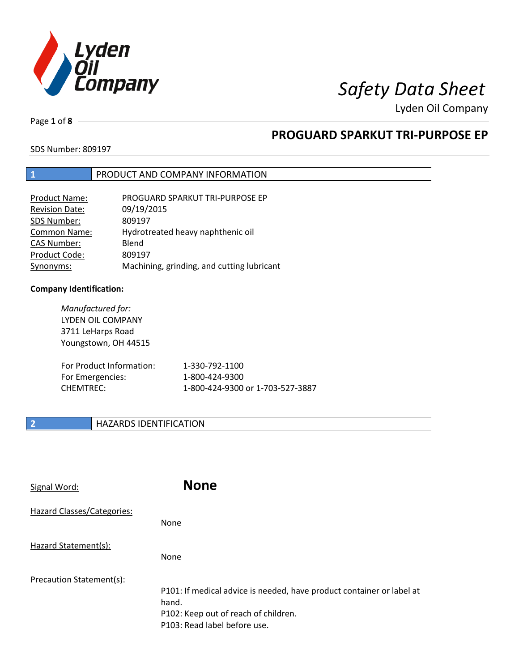

Page **1** of **8**

# **PROGUARD SPARKUT TRI-PURPOSE EP**

SDS Number: 809197

### **1** PRODUCT AND COMPANY INFORMATION

| Product Name:         | PROGUARD SPARKUT TRI-PURPOSE EP            |
|-----------------------|--------------------------------------------|
| <b>Revision Date:</b> | 09/19/2015                                 |
| SDS Number:           | 809197                                     |
| Common Name:          | Hydrotreated heavy naphthenic oil          |
| <b>CAS Number:</b>    | Blend                                      |
| Product Code:         | 809197                                     |
| Synonyms:             | Machining, grinding, and cutting lubricant |

### **Company Identification:**

| Manufactured for:<br>LYDEN OIL COMPANY<br>3711 LeHarps Road<br>Youngstown, OH 44515 |                                  |
|-------------------------------------------------------------------------------------|----------------------------------|
| For Product Information:                                                            | 1-330-792-1100                   |
| For Emergencies:                                                                    | 1-800-424-9300                   |
| CHFMTRFC:                                                                           | 1-800-424-9300 or 1-703-527-3887 |

## **2 HAZARDS IDENTIFICATION**

| Signal Word:               | <b>None</b>                                                                                                                                            |
|----------------------------|--------------------------------------------------------------------------------------------------------------------------------------------------------|
| Hazard Classes/Categories: | <b>None</b>                                                                                                                                            |
| Hazard Statement(s):       | <b>None</b>                                                                                                                                            |
| Precaution Statement(s):   | P101: If medical advice is needed, have product container or label at<br>hand.<br>P102: Keep out of reach of children.<br>P103: Read label before use. |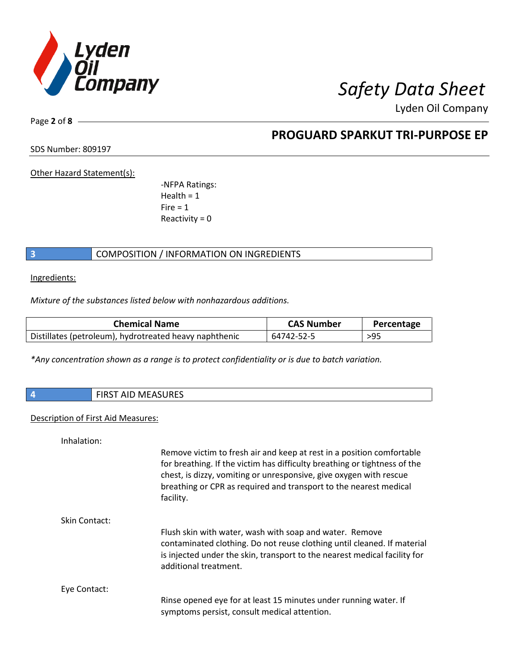

Page **2** of **8**

## **PROGUARD SPARKUT TRI-PURPOSE EP**

SDS Number: 809197

Other Hazard Statement(s):

-NFPA Ratings:  $Health = 1$  $Fire = 1$ Reactivity  $= 0$ 

## **3** COMPOSITION / INFORMATION ON INGREDIENTS

Ingredients:

*Mixture of the substances listed below with nonhazardous additions.*

| <b>Chemical Name</b>                                   | <b>CAS Number</b> | Percentage |
|--------------------------------------------------------|-------------------|------------|
| Distillates (petroleum), hydrotreated heavy naphthenic | 64742-52-5        | >95        |

*\*Any concentration shown as a range is to protect confidentiality or is due to batch variation.*

| AID MEASURES<br><b>FIDC</b><br>FIKS. |
|--------------------------------------|
|                                      |

### Description of First Aid Measures:

| Inhalation:   |                                                                                                                                                                                                                                                                                                            |
|---------------|------------------------------------------------------------------------------------------------------------------------------------------------------------------------------------------------------------------------------------------------------------------------------------------------------------|
|               | Remove victim to fresh air and keep at rest in a position comfortable<br>for breathing. If the victim has difficulty breathing or tightness of the<br>chest, is dizzy, vomiting or unresponsive, give oxygen with rescue<br>breathing or CPR as required and transport to the nearest medical<br>facility. |
| Skin Contact: |                                                                                                                                                                                                                                                                                                            |
|               | Flush skin with water, wash with soap and water. Remove<br>contaminated clothing. Do not reuse clothing until cleaned. If material<br>is injected under the skin, transport to the nearest medical facility for<br>additional treatment.                                                                   |
| Eye Contact:  |                                                                                                                                                                                                                                                                                                            |
|               | Rinse opened eye for at least 15 minutes under running water. If<br>symptoms persist, consult medical attention.                                                                                                                                                                                           |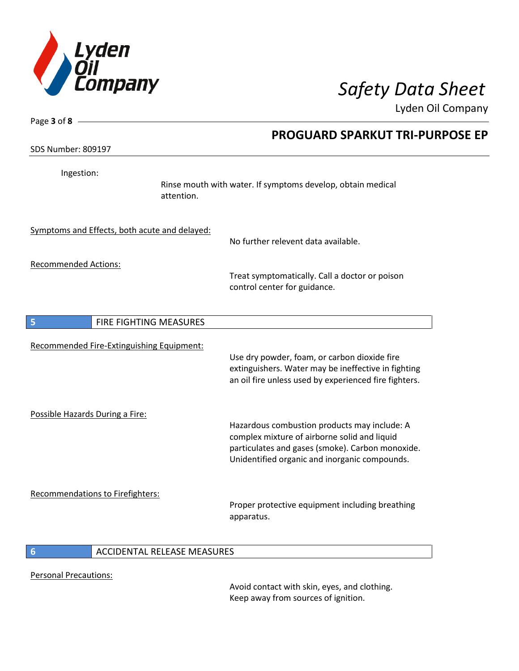

| Page 3 of 8 -                                 |                                                                                                                                                                                                   |  |
|-----------------------------------------------|---------------------------------------------------------------------------------------------------------------------------------------------------------------------------------------------------|--|
|                                               | <b>PROGUARD SPARKUT TRI-PURPOSE EP</b>                                                                                                                                                            |  |
| <b>SDS Number: 809197</b>                     |                                                                                                                                                                                                   |  |
| Ingestion:                                    | Rinse mouth with water. If symptoms develop, obtain medical<br>attention.                                                                                                                         |  |
| Symptoms and Effects, both acute and delayed: | No further relevent data available.                                                                                                                                                               |  |
| <b>Recommended Actions:</b>                   | Treat symptomatically. Call a doctor or poison<br>control center for guidance.                                                                                                                    |  |
| 5<br>FIRE FIGHTING MEASURES                   |                                                                                                                                                                                                   |  |
| Recommended Fire-Extinguishing Equipment:     | Use dry powder, foam, or carbon dioxide fire<br>extinguishers. Water may be ineffective in fighting<br>an oil fire unless used by experienced fire fighters.                                      |  |
| Possible Hazards During a Fire:               | Hazardous combustion products may include: A<br>complex mixture of airborne solid and liquid<br>particulates and gases (smoke). Carbon monoxide.<br>Unidentified organic and inorganic compounds. |  |
| Recommendations to Firefighters:              | Proper protective equipment including breathing<br>apparatus.                                                                                                                                     |  |
| $6\phantom{1}6$                               | <b>ACCIDENTAL RELEASE MEASURES</b>                                                                                                                                                                |  |

Personal Precautions:

Avoid contact with skin, eyes, and clothing. Keep away from sources of ignition.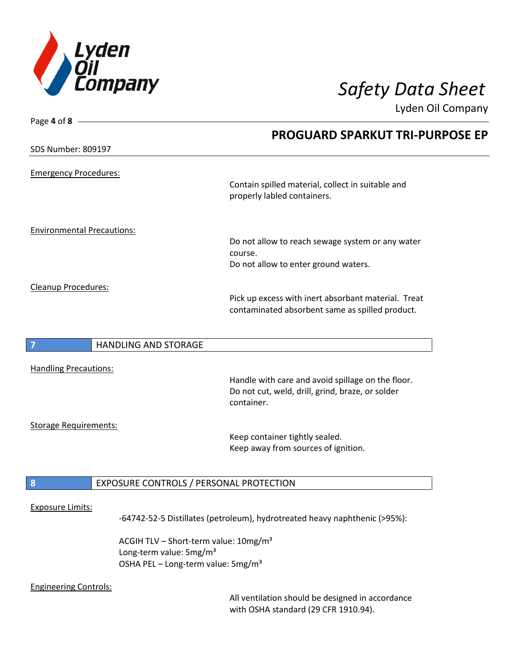

| Page 4 of 8 -                                                                         |                                                                                                                     |
|---------------------------------------------------------------------------------------|---------------------------------------------------------------------------------------------------------------------|
|                                                                                       | <b>PROGUARD SPARKUT TRI-PURPOSE EP</b>                                                                              |
| <b>SDS Number: 809197</b>                                                             |                                                                                                                     |
| <b>Emergency Procedures:</b>                                                          |                                                                                                                     |
|                                                                                       | Contain spilled material, collect in suitable and<br>properly labled containers.                                    |
| <b>Environmental Precautions:</b>                                                     |                                                                                                                     |
|                                                                                       | Do not allow to reach sewage system or any water<br>course.                                                         |
|                                                                                       | Do not allow to enter ground waters.                                                                                |
| Cleanup Procedures:                                                                   |                                                                                                                     |
|                                                                                       | Pick up excess with inert absorbant material. Treat<br>contaminated absorbent same as spilled product.              |
| HANDLING AND STORAGE<br>7                                                             |                                                                                                                     |
| <b>Handling Precautions:</b>                                                          |                                                                                                                     |
|                                                                                       | Handle with care and avoid spillage on the floor.<br>Do not cut, weld, drill, grind, braze, or solder<br>container. |
| <b>Storage Requirements:</b>                                                          |                                                                                                                     |
|                                                                                       | Keep container tightly sealed.<br>Keep away from sources of ignition.                                               |
| 8                                                                                     | EXPOSURE CONTROLS / PERSONAL PROTECTION                                                                             |
|                                                                                       |                                                                                                                     |
| <b>Exposure Limits:</b>                                                               | -64742-52-5 Distillates (petroleum), hydrotreated heavy naphthenic (>95%):                                          |
| Long-term value: 5mg/m <sup>3</sup><br>OSHA PEL - Long-term value: 5mg/m <sup>3</sup> | ACGIH TLV - Short-term value: 10mg/m <sup>3</sup>                                                                   |
| <b>Engineering Controls:</b>                                                          |                                                                                                                     |

All ventilation should be designed in accordance with OSHA standard (29 CFR 1910.94).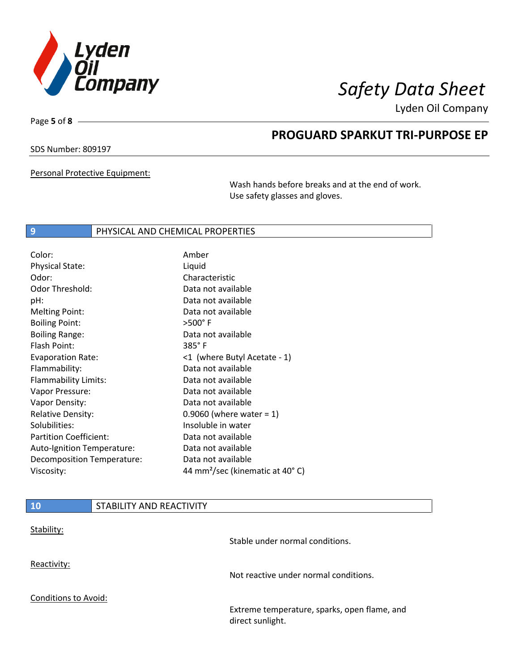

Page **5** of **8**

# **PROGUARD SPARKUT TRI-PURPOSE EP**

SDS Number: 809197

Personal Protective Equipment:

Wash hands before breaks and at the end of work. Use safety glasses and gloves.

### **9 PHYSICAL AND CHEMICAL PROPERTIES**

| Amber                                       |
|---------------------------------------------|
| Liquid                                      |
| Characteristic                              |
| Data not available                          |
| Data not available                          |
| Data not available                          |
| $>500^\circ$ F                              |
| Data not available                          |
| $385^\circ$ F                               |
| <1 (where Butyl Acetate - 1)                |
| Data not available                          |
| Data not available                          |
| Data not available                          |
| Data not available                          |
| 0.9060 (where water = $1$ )                 |
| Insoluble in water                          |
| Data not available                          |
| Data not available                          |
| Data not available                          |
| 44 mm <sup>2</sup> /sec (kinematic at 40°C) |
|                                             |

| 10                          | STABILITY AND REACTIVITY |                                                                  |
|-----------------------------|--------------------------|------------------------------------------------------------------|
| Stability:                  |                          | Stable under normal conditions.                                  |
| Reactivity:                 |                          | Not reactive under normal conditions.                            |
| <b>Conditions to Avoid:</b> |                          |                                                                  |
|                             |                          | Extreme temperature, sparks, open flame, and<br>direct sunlight. |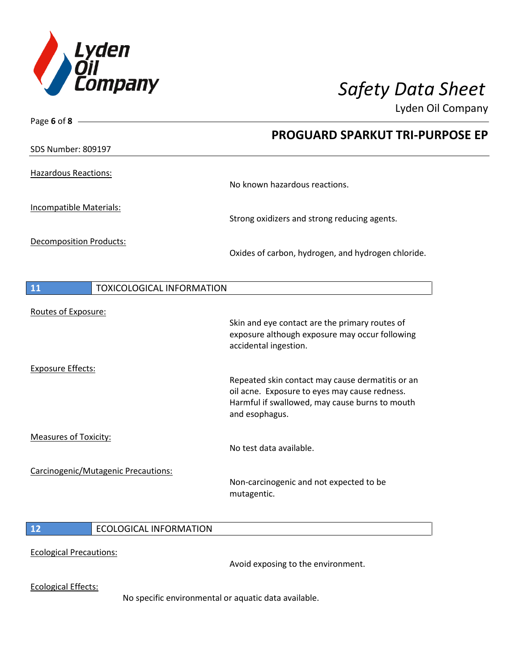

Page **6** of **8**

Lyden Oil Company

|                                        | <b>PROGUARD SPARKUT TRI-PURPOSE EP</b>                                                                                                                                |
|----------------------------------------|-----------------------------------------------------------------------------------------------------------------------------------------------------------------------|
| <b>SDS Number: 809197</b>              |                                                                                                                                                                       |
| <b>Hazardous Reactions:</b>            | No known hazardous reactions.                                                                                                                                         |
| Incompatible Materials:                | Strong oxidizers and strong reducing agents.                                                                                                                          |
| <b>Decomposition Products:</b>         | Oxides of carbon, hydrogen, and hydrogen chloride.                                                                                                                    |
| <b>TOXICOLOGICAL INFORMATION</b><br>11 |                                                                                                                                                                       |
| Routes of Exposure:                    | Skin and eye contact are the primary routes of<br>exposure although exposure may occur following<br>accidental ingestion.                                             |
| <b>Exposure Effects:</b>               | Repeated skin contact may cause dermatitis or an<br>oil acne. Exposure to eyes may cause redness.<br>Harmful if swallowed, may cause burns to mouth<br>and esophagus. |
| <b>Measures of Toxicity:</b>           | No test data available.                                                                                                                                               |
| Carcinogenic/Mutagenic Precautions:    | Non-carcinogenic and not expected to be<br>mutagentic.                                                                                                                |
| 12<br><b>ECOLOGICAL INFORMATION</b>    |                                                                                                                                                                       |
| <b>Ecological Precautions:</b>         |                                                                                                                                                                       |

Avoid exposing to the environment.

Ecological Effects:

No specific environmental or aquatic data available.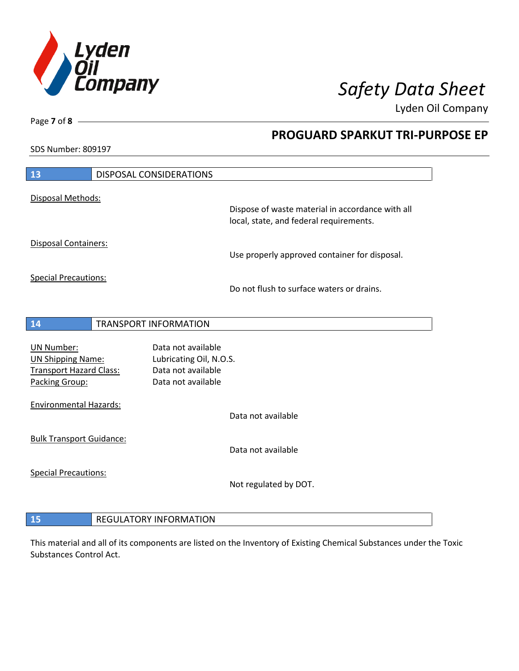

**PROGUARD SPARKUT TRI-PURPOSE EP**

Lyden Oil Company

SDS Number: 809197

Page **7** of **8**

 $\overline{\phantom{a}}$ 

| 13                                                                                                | <b>DISPOSAL CONSIDERATIONS</b>                                                            |                                                                                             |
|---------------------------------------------------------------------------------------------------|-------------------------------------------------------------------------------------------|---------------------------------------------------------------------------------------------|
| Disposal Methods:                                                                                 |                                                                                           |                                                                                             |
|                                                                                                   |                                                                                           | Dispose of waste material in accordance with all<br>local, state, and federal requirements. |
| <b>Disposal Containers:</b>                                                                       |                                                                                           | Use properly approved container for disposal.                                               |
| <b>Special Precautions:</b>                                                                       |                                                                                           | Do not flush to surface waters or drains.                                                   |
| 14                                                                                                | <b>TRANSPORT INFORMATION</b>                                                              |                                                                                             |
| <b>UN Number:</b><br><b>UN Shipping Name:</b><br><b>Transport Hazard Class:</b><br>Packing Group: | Data not available<br>Lubricating Oil, N.O.S.<br>Data not available<br>Data not available |                                                                                             |
| <b>Environmental Hazards:</b>                                                                     |                                                                                           | Data not available                                                                          |
| <b>Bulk Transport Guidance:</b>                                                                   |                                                                                           | Data not available                                                                          |
| <b>Special Precautions:</b>                                                                       |                                                                                           | Not regulated by DOT.                                                                       |
| 15                                                                                                | <b>REGULATORY INFORMATION</b>                                                             |                                                                                             |

This material and all of its components are listed on the Inventory of Existing Chemical Substances under the Toxic Substances Control Act.